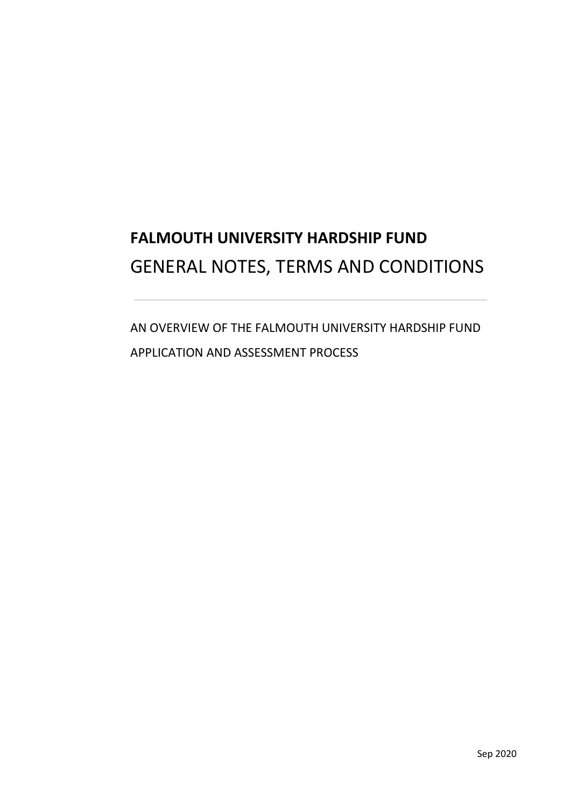# **FALMOUTH UNIVERSITY HARDSHIP FUND**  GENERAL NOTES, TERMS AND CONDITIONS

AN OVERVIEW OF THE FALMOUTH UNIVERSITY HARDSHIP FUND APPLICATION AND ASSESSMENT PROCESS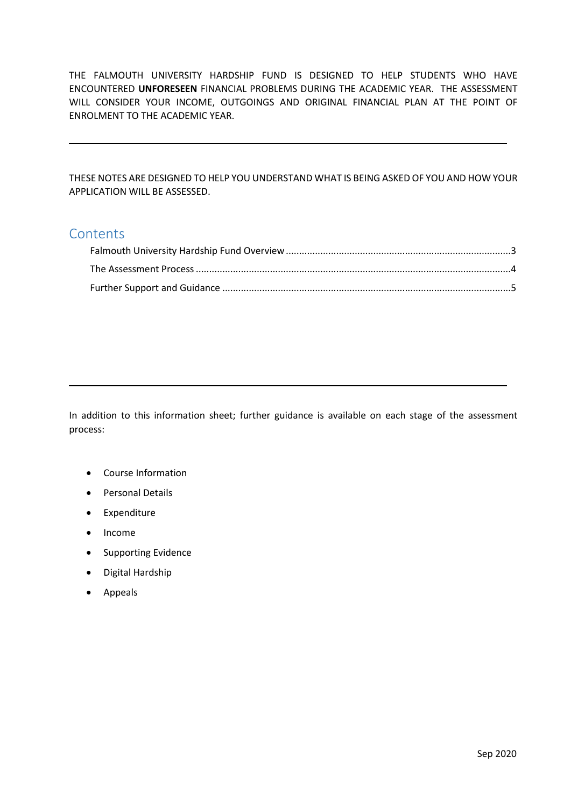THE FALMOUTH UNIVERSITY HARDSHIP FUND IS DESIGNED TO HELP STUDENTS WHO HAVE ENCOUNTERED **UNFORESEEN** FINANCIAL PROBLEMS DURING THE ACADEMIC YEAR. THE ASSESSMENT WILL CONSIDER YOUR INCOME, OUTGOINGS AND ORIGINAL FINANCIAL PLAN AT THE POINT OF ENROLMENT TO THE ACADEMIC YEAR.

 THESE NOTES ARE DESIGNED TO HELP YOU UNDERSTAND WHAT IS BEING ASKED OF YOU AND HOW YOUR APPLICATION WILL BE ASSESSED.

# **Contents**

 In addition to this information sheet; further guidance is available on each stage of the assessment process:

- Course Information
- Personal Details
- Expenditure
- Income
- Supporting Evidence
- Digital Hardship
- Appeals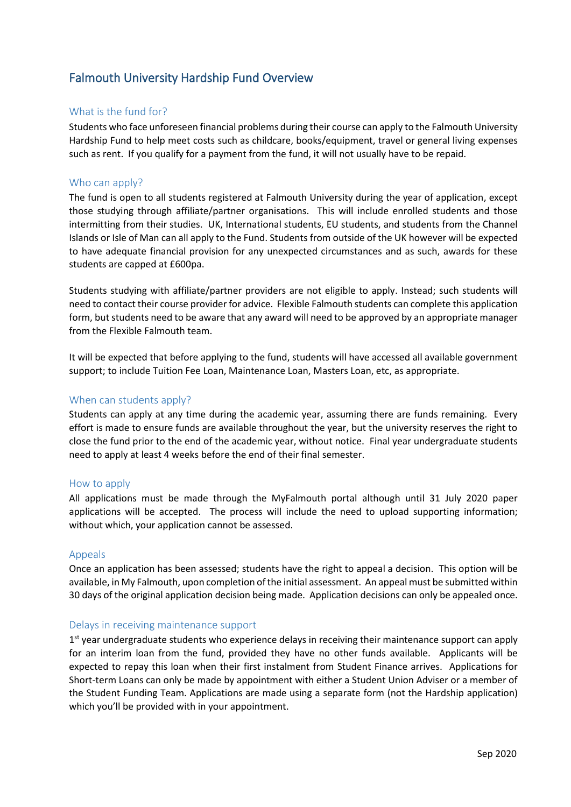# <span id="page-2-0"></span>Falmouth University Hardship Fund Overview

### What is the fund for?

 Students who face unforeseen financial problems during their course can apply to the Falmouth University Hardship Fund to help meet costs such as childcare, books/equipment, travel or general living expenses such as rent. If you qualify for a payment from the fund, it will not usually have to be repaid.

#### Who can apply?

 The fund is open to all students registered at Falmouth University during the year of application, except those studying through affiliate/partner organisations. This will include enrolled students and those intermitting from their studies. UK, International students, EU students, and students from the Channel Islands or Isle of Man can all apply to the Fund. Students from outside of the UK however will be expected to have adequate financial provision for any unexpected circumstances and as such, awards for these students are capped at £600pa.

 Students studying with affiliate/partner providers are not eligible to apply. Instead; such students will need to contact their course provider for advice. Flexible Falmouth students can complete this application form, but students need to be aware that any award will need to be approved by an appropriate manager from the Flexible Falmouth team.

It will be expected that before applying to the fund, students will have accessed all available government support; to include Tuition Fee Loan, Maintenance Loan, Masters Loan, etc, as appropriate.

#### When can students apply?

 Students can apply at any time during the academic year, assuming there are funds remaining. Every effort is made to ensure funds are available throughout the year, but the university reserves the right to close the fund prior to the end of the academic year, without notice. Final year undergraduate students need to apply at least 4 weeks before the end of their final semester.

#### How to apply

 All applications must be made through the MyFalmouth portal although until 31 July 2020 paper applications will be accepted. The process will include the need to upload supporting information; without which, your application cannot be assessed.

#### Appeals

 Once an application has been assessed; students have the right to appeal a decision. This option will be available, in My Falmouth, upon completion of the initial assessment. An appeal must be submitted within 30 days of the original application decision being made. Application decisions can only be appealed once.

#### Delays in receiving maintenance support

1<sup>st</sup> year undergraduate students who experience delays in receiving their maintenance support can apply for an interim loan from the fund, provided they have no other funds available. Applicants will be expected to repay this loan when their first instalment from Student Finance arrives. Applications for the Student Funding Team. Applications are made using a separate form (not the Hardship application) Short-term Loans can only be made by appointment with either a Student Union Adviser or a member of which you'll be provided with in your appointment.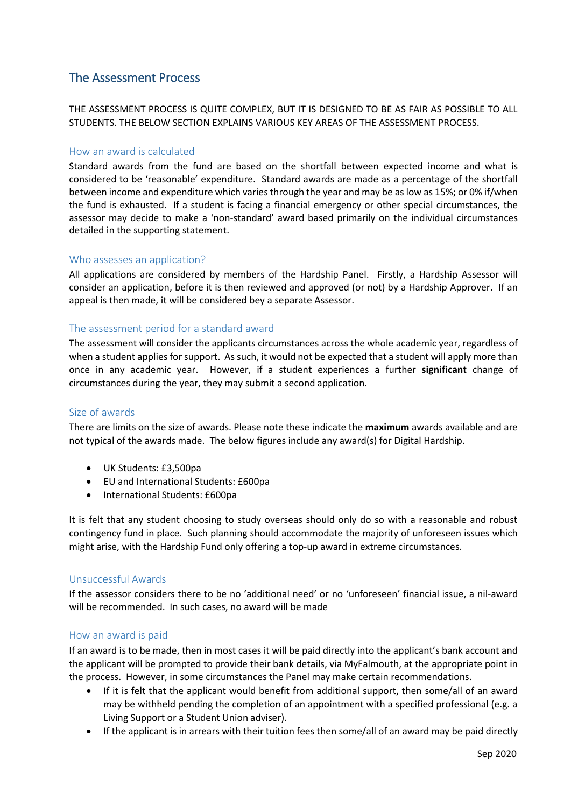# <span id="page-3-0"></span>The Assessment Process

 THE ASSESSMENT PROCESS IS QUITE COMPLEX, BUT IT IS DESIGNED TO BE AS FAIR AS POSSIBLE TO ALL STUDENTS. THE BELOW SECTION EXPLAINS VARIOUS KEY AREAS OF THE ASSESSMENT PROCESS.

#### How an award is calculated

 Standard awards from the fund are based on the shortfall between expected income and what is between income and expenditure which varies through the year and may be as low as 15%; or 0% if/when the fund is exhausted. If a student is facing a financial emergency or other special circumstances, the assessor may decide to make a 'non-standard' award based primarily on the individual circumstances considered to be 'reasonable' expenditure. Standard awards are made as a percentage of the shortfall detailed in the supporting statement.

#### Who assesses an application?

 All applications are considered by members of the Hardship Panel. Firstly, a Hardship Assessor will consider an application, before it is then reviewed and approved (or not) by a Hardship Approver. If an appeal is then made, it will be considered bey a separate Assessor.

#### The assessment period for a standard award

 when a student applies for support. As such, it would not be expected that a student will apply more than once in any academic year. However, if a student experiences a further **significant** change of The assessment will consider the applicants circumstances across the whole academic year, regardless of circumstances during the year, they may submit a second application.

#### Size of awards

 not typical of the awards made. The below figures include any award(s) for Digital Hardship. There are limits on the size of awards. Please note these indicate the **maximum** awards available and are

- UK Students: £3,500pa
- EU and International Students: £600pa
- International Students: £600pa

 It is felt that any student choosing to study overseas should only do so with a reasonable and robust contingency fund in place. Such planning should accommodate the majority of unforeseen issues which might arise, with the Hardship Fund only offering a top-up award in extreme circumstances.

#### Unsuccessful Awards

 If the assessor considers there to be no 'additional need' or no 'unforeseen' financial issue, a nil-award will be recommended. In such cases, no award will be made

#### How an award is paid

 If an award is to be made, then in most cases it will be paid directly into the applicant's bank account and the applicant will be prompted to provide their bank details, via MyFalmouth, at the appropriate point in the process. However, in some circumstances the Panel may make certain recommendations.

- • If it is felt that the applicant would benefit from additional support, then some/all of an award may be withheld pending the completion of an appointment with a specified professional (e.g. a Living Support or a Student Union adviser).
- If the applicant is in arrears with their tuition fees then some/all of an award may be paid directly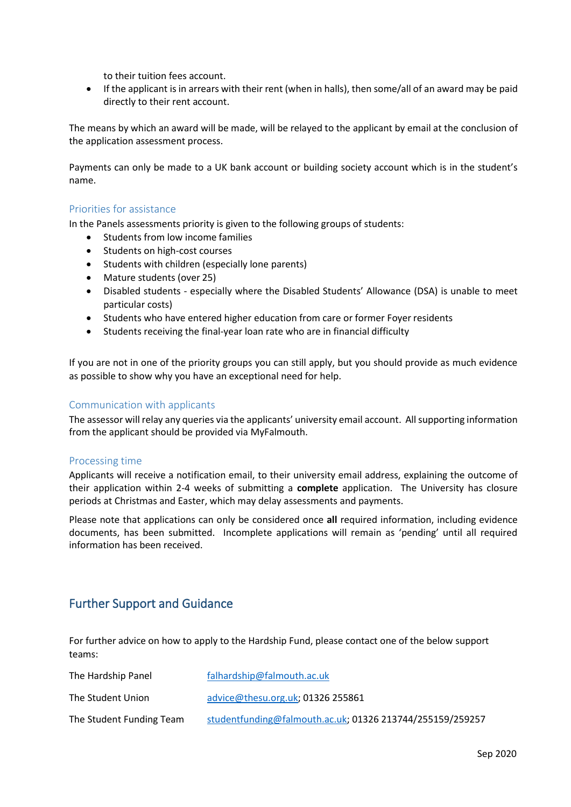to their tuition fees account.

 • If the applicant is in arrears with their rent (when in halls), then some/all of an award may be paid directly to their rent account.

 The means by which an award will be made, will be relayed to the applicant by email at the conclusion of the application assessment process.

 Payments can only be made to a UK bank account or building society account which is in the student's name.

#### Priorities for assistance

In the Panels assessments priority is given to the following groups of students:

- Students from low income families
- Students on high-cost courses
- Students with children (especially lone parents)
- Mature students (over 25)
- • Disabled students especially where the Disabled Students' Allowance (DSA) is unable to meet particular costs)
- Students who have entered higher education from care or former Foyer residents
- Students receiving the final-year loan rate who are in financial difficulty

 If you are not in one of the priority groups you can still apply, but you should provide as much evidence as possible to show why you have an exceptional need for help.

#### Communication with applicants

The assessor will relay any queries via the applicants' university email account. All supporting information from the applicant should be provided via MyFalmouth.

#### Processing time

 Applicants will receive a notification email, to their university email address, explaining the outcome of their application within 2-4 weeks of submitting a **complete** application. The University has closure periods at Christmas and Easter, which may delay assessments and payments.

 Please note that applications can only be considered once **all** required information, including evidence documents, has been submitted. Incomplete applications will remain as 'pending' until all required information has been received.

# <span id="page-4-0"></span>Further Support and Guidance

For further advice on how to apply to the Hardship Fund, please contact one of the below support teams:

| The Hardship Panel       | falhardship@falmouth.ac.uk                                |
|--------------------------|-----------------------------------------------------------|
| The Student Union        | advice@thesu.org.uk; $01326$ 255861                       |
| The Student Funding Team | studentfunding@falmouth.ac.uk; 01326 213744/255159/259257 |